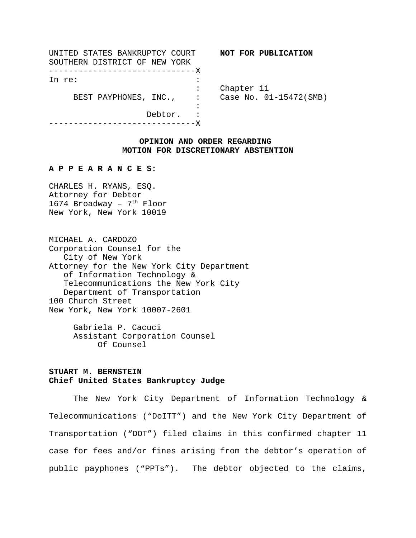| UNITED STATES BANKRUPTCY COURT |                               |            | NOT FOR PUBLICATION    |
|--------------------------------|-------------------------------|------------|------------------------|
| SOUTHERN DISTRICT OF NEW YORK  |                               |            |                        |
| --------------------------X    |                               |            |                        |
| In re:                         |                               |            |                        |
|                                |                               | Chapter 11 |                        |
| BEST PAYPHONES, INC.,          | $\sim 10^{11}$ GeV $_{\odot}$ |            | Case No. 01-15472(SMB) |
|                                |                               |            |                        |
| Debtor.                        |                               |            |                        |
|                                |                               |            |                        |

## **OPINION AND ORDER REGARDING MOTION FOR DISCRETIONARY ABSTENTION**

## **A P P E A R A N C E S:**

CHARLES H. RYANS, ESQ. Attorney for Debtor 1674 Broadway -  $7<sup>th</sup>$  Floor New York, New York 10019

MICHAEL A. CARDOZO Corporation Counsel for the City of New York Attorney for the New York City Department of Information Technology & Telecommunications the New York City Department of Transportation 100 Church Street New York, New York 10007-2601

> Gabriela P. Cacuci Assistant Corporation Counsel Of Counsel

# **STUART M. BERNSTEIN Chief United States Bankruptcy Judge**

The New York City Department of Information Technology & Telecommunications ("DoITT") and the New York City Department of Transportation ("DOT") filed claims in this confirmed chapter 11 case for fees and/or fines arising from the debtor's operation of public payphones ("PPTs"). The debtor objected to the claims,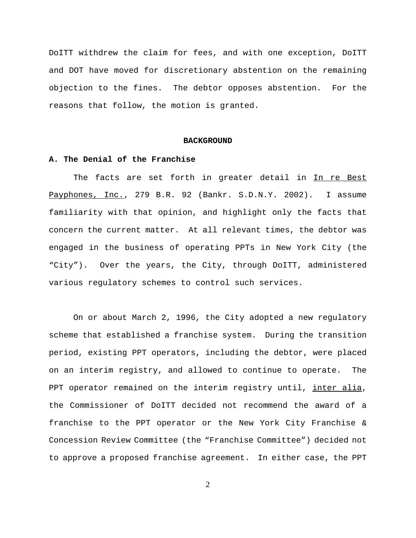DoITT withdrew the claim for fees, and with one exception, DoITT and DOT have moved for discretionary abstention on the remaining objection to the fines. The debtor opposes abstention. For the reasons that follow, the motion is granted.

#### **BACKGROUND**

#### **A. The Denial of the Franchise**

The facts are set forth in greater detail in In re Best Payphones, Inc., 279 B.R. 92 (Bankr. S.D.N.Y. 2002). I assume familiarity with that opinion, and highlight only the facts that concern the current matter. At all relevant times, the debtor was engaged in the business of operating PPTs in New York City (the "City"). Over the years, the City, through DoITT, administered various regulatory schemes to control such services.

On or about March 2, 1996, the City adopted a new regulatory scheme that established a franchise system. During the transition period, existing PPT operators, including the debtor, were placed on an interim registry, and allowed to continue to operate. The PPT operator remained on the interim registry until, inter alia, the Commissioner of DoITT decided not recommend the award of a franchise to the PPT operator or the New York City Franchise & Concession Review Committee (the "Franchise Committee") decided not to approve a proposed franchise agreement. In either case, the PPT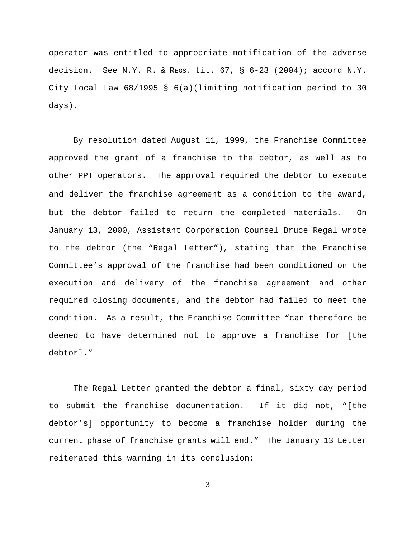operator was entitled to appropriate notification of the adverse decision. See N.Y. R. & REGS. tit.  $67, S$   $6-23$  (2004); accord N.Y. City Local Law 68/1995 § 6(a)(limiting notification period to 30 days).

By resolution dated August 11, 1999, the Franchise Committee approved the grant of a franchise to the debtor, as well as to other PPT operators. The approval required the debtor to execute and deliver the franchise agreement as a condition to the award, but the debtor failed to return the completed materials. On January 13, 2000, Assistant Corporation Counsel Bruce Regal wrote to the debtor (the "Regal Letter"), stating that the Franchise Committee's approval of the franchise had been conditioned on the execution and delivery of the franchise agreement and other required closing documents, and the debtor had failed to meet the condition. As a result, the Franchise Committee "can therefore be deemed to have determined not to approve a franchise for [the debtor]."

The Regal Letter granted the debtor a final, sixty day period to submit the franchise documentation. If it did not, "[the debtor's] opportunity to become a franchise holder during the current phase of franchise grants will end." The January 13 Letter reiterated this warning in its conclusion: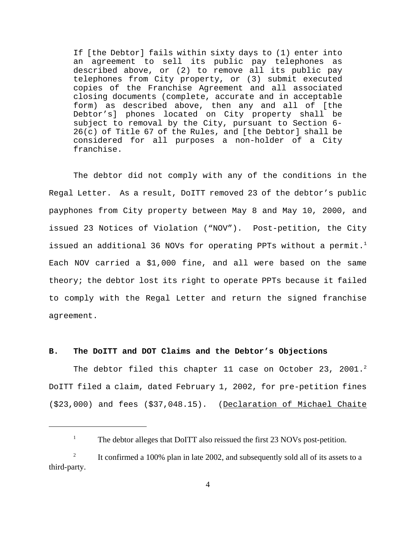If [the Debtor] fails within sixty days to (1) enter into an agreement to sell its public pay telephones as described above, or (2) to remove all its public pay telephones from City property, or (3) submit executed copies of the Franchise Agreement and all associated closing documents (complete, accurate and in acceptable form) as described above, then any and all of [the Debtor's] phones located on City property shall be subject to removal by the City, pursuant to Section 6- 26(c) of Title 67 of the Rules, and [the Debtor] shall be considered for all purposes a non-holder of a City franchise.

The debtor did not comply with any of the conditions in the Regal Letter. As a result, DoITT removed 23 of the debtor's public payphones from City property between May 8 and May 10, 2000, and issued 23 Notices of Violation ("NOV"). Post-petition, the City issued an additional 36 NOVs for operating PPTs without a permit.<sup>1</sup> Each NOV carried a \$1,000 fine, and all were based on the same theory; the debtor lost its right to operate PPTs because it failed to comply with the Regal Letter and return the signed franchise agreement.

## **B. The DoITT and DOT Claims and the Debtor's Objections**

The debtor filed this chapter 11 case on October 23, 2001.<sup>2</sup> DoITT filed a claim, dated February 1, 2002, for pre-petition fines (\$23,000) and fees (\$37,048.15). (Declaration of Michael Chaite

<sup>&</sup>lt;sup>1</sup> The debtor alleges that DoITT also reissued the first 23 NOVs post-petition.

<sup>&</sup>lt;sup>2</sup> It confirmed a 100% plan in late 2002, and subsequently sold all of its assets to a third-party.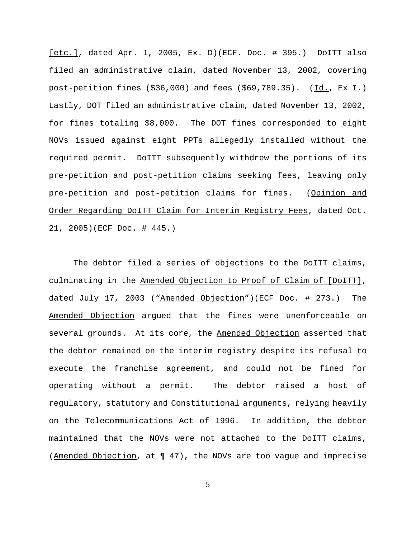[etc.], dated Apr. 1, 2005, Ex. D)(ECF. Doc. # 395.) DoITT also filed an administrative claim, dated November 13, 2002, covering post-petition fines  $(\$36,000)$  and fees  $(\$69,789.35)$ .  $(\underline{Id.}, \underline{Ex.1.})$ Lastly, DOT filed an administrative claim, dated November 13, 2002, for fines totaling \$8,000. The DOT fines corresponded to eight NOVs issued against eight PPTs allegedly installed without the required permit. DoITT subsequently withdrew the portions of its pre-petition and post-petition claims seeking fees, leaving only pre-petition and post-petition claims for fines. (Opinion and Order Regarding DoITT Claim for Interim Registry Fees, dated Oct. 21, 2005)(ECF Doc. # 445.)

The debtor filed a series of objections to the DoITT claims, culminating in the Amended Objection to Proof of Claim of [DoITT], dated July 17, 2003 ("Amended Objection")(ECF Doc. # 273.) The Amended Objection argued that the fines were unenforceable on several grounds. At its core, the Amended Objection asserted that the debtor remained on the interim registry despite its refusal to execute the franchise agreement, and could not be fined for operating without a permit. The debtor raised a host of regulatory, statutory and Constitutional arguments, relying heavily on the Telecommunications Act of 1996. In addition, the debtor maintained that the NOVs were not attached to the DoITT claims, (Amended Objection, at ¶ 47), the NOVs are too vague and imprecise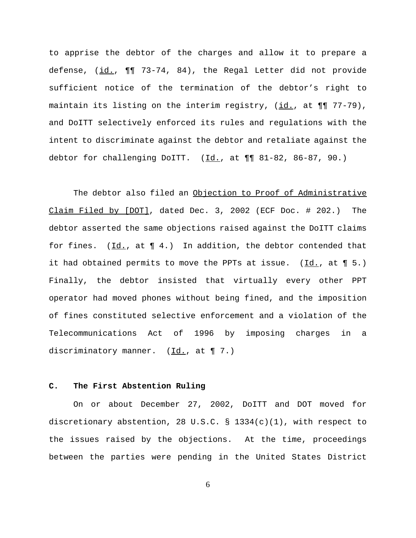to apprise the debtor of the charges and allow it to prepare a defense, (id.,  $\P$ ] 73-74, 84), the Regal Letter did not provide sufficient notice of the termination of the debtor's right to maintain its listing on the interim registry, (id., at ¶¶ 77-79), and DoITT selectively enforced its rules and regulations with the intent to discriminate against the debtor and retaliate against the debtor for challenging DoITT.  $(\underline{Id.}, \underline{at.} \P \P \ 81-82, 86-87, 90.)$ 

The debtor also filed an Objection to Proof of Administrative Claim Filed by [DOT], dated Dec. 3, 2002 (ECF Doc. # 202.) The debtor asserted the same objections raised against the DoITT claims for fines.  $(\underline{Id.}, \underline{at} \P 4.)$  In addition, the debtor contended that it had obtained permits to move the PPTs at issue. (Id., at ¶ 5.) Finally, the debtor insisted that virtually every other PPT operator had moved phones without being fined, and the imposition of fines constituted selective enforcement and a violation of the Telecommunications Act of 1996 by imposing charges in a discriminatory manner.  $(\underline{Id.}, at \P 7.)$ 

#### **C. The First Abstention Ruling**

On or about December 27, 2002, DoITT and DOT moved for discretionary abstention, 28 U.S.C. § 1334(c)(1), with respect to the issues raised by the objections. At the time, proceedings between the parties were pending in the United States District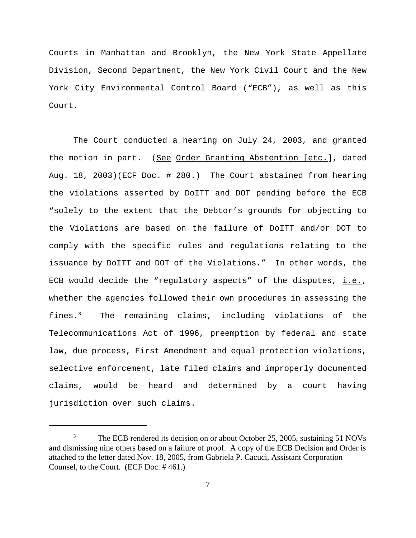Courts in Manhattan and Brooklyn, the New York State Appellate Division, Second Department, the New York Civil Court and the New York City Environmental Control Board ("ECB"), as well as this Court.

The Court conducted a hearing on July 24, 2003, and granted the motion in part. (See Order Granting Abstention [etc.], dated Aug. 18, 2003)(ECF Doc. # 280.) The Court abstained from hearing the violations asserted by DoITT and DOT pending before the ECB "solely to the extent that the Debtor's grounds for objecting to the Violations are based on the failure of DoITT and/or DOT to comply with the specific rules and regulations relating to the issuance by DoITT and DOT of the Violations." In other words, the ECB would decide the "regulatory aspects" of the disputes,  $i.e.,$ whether the agencies followed their own procedures in assessing the fines.<sup>3</sup> The remaining claims, including violations of the Telecommunications Act of 1996, preemption by federal and state law, due process, First Amendment and equal protection violations, selective enforcement, late filed claims and improperly documented claims, would be heard and determined by a court having jurisdiction over such claims.

<sup>&</sup>lt;sup>3</sup> The ECB rendered its decision on or about October 25, 2005, sustaining 51 NOVs and dismissing nine others based on a failure of proof. A copy of the ECB Decision and Order is attached to the letter dated Nov. 18, 2005, from Gabriela P. Cacuci, Assistant Corporation Counsel, to the Court. (ECF Doc. # 461.)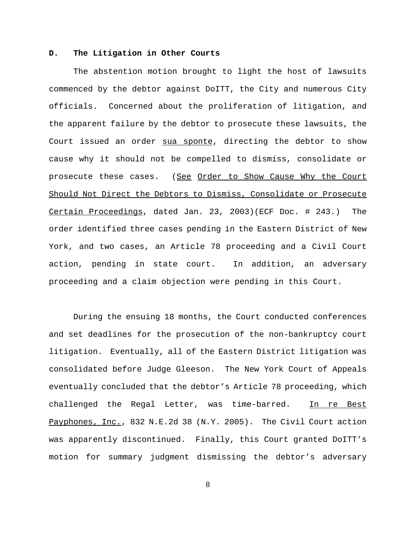#### **D. The Litigation in Other Courts**

The abstention motion brought to light the host of lawsuits commenced by the debtor against DoITT, the City and numerous City officials. Concerned about the proliferation of litigation, and the apparent failure by the debtor to prosecute these lawsuits, the Court issued an order sua sponte, directing the debtor to show cause why it should not be compelled to dismiss, consolidate or prosecute these cases. (See Order to Show Cause Why the Court Should Not Direct the Debtors to Dismiss, Consolidate or Prosecute Certain Proceedings, dated Jan. 23, 2003)(ECF Doc. # 243.) The order identified three cases pending in the Eastern District of New York, and two cases, an Article 78 proceeding and a Civil Court action, pending in state court. In addition, an adversary proceeding and a claim objection were pending in this Court.

During the ensuing 18 months, the Court conducted conferences and set deadlines for the prosecution of the non-bankruptcy court litigation. Eventually, all of the Eastern District litigation was consolidated before Judge Gleeson. The New York Court of Appeals eventually concluded that the debtor's Article 78 proceeding, which challenged the Regal Letter, was time-barred. In re Best Payphones, Inc., 832 N.E.2d 38 (N.Y. 2005). The Civil Court action was apparently discontinued. Finally, this Court granted DoITT's motion for summary judgment dismissing the debtor's adversary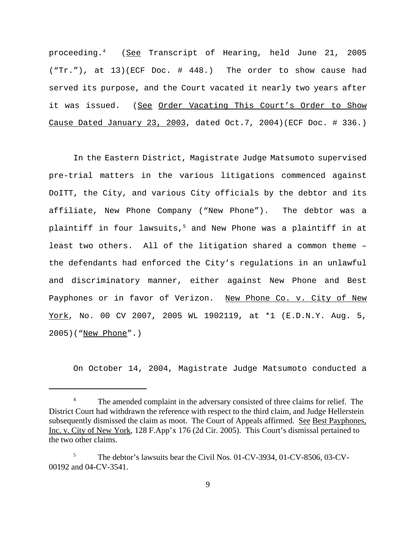proceeding.<sup>4</sup> (See Transcript of Hearing, held June 21, 2005 ("Tr."), at 13)(ECF Doc. # 448.) The order to show cause had served its purpose, and the Court vacated it nearly two years after it was issued. (See Order Vacating This Court's Order to Show Cause Dated January 23, 2003, dated Oct.7, 2004)(ECF Doc. # 336.)

In the Eastern District, Magistrate Judge Matsumoto supervised pre-trial matters in the various litigations commenced against DoITT, the City, and various City officials by the debtor and its affiliate, New Phone Company ("New Phone"). The debtor was a plaintiff in four lawsuits,<sup>5</sup> and New Phone was a plaintiff in at least two others. All of the litigation shared a common theme – the defendants had enforced the City's regulations in an unlawful and discriminatory manner, either against New Phone and Best Payphones or in favor of Verizon. New Phone Co. v. City of New York, No. 00 CV 2007, 2005 WL 1902119, at \*1 (E.D.N.Y. Aug. 5, 2005)("New Phone".)

On October 14, 2004, Magistrate Judge Matsumoto conducted a

<sup>&</sup>lt;sup>4</sup> The amended complaint in the adversary consisted of three claims for relief. The District Court had withdrawn the reference with respect to the third claim, and Judge Hellerstein subsequently dismissed the claim as moot. The Court of Appeals affirmed. See Best Payphones, Inc. v. City of New York, 128 F.App'x 176 (2d Cir. 2005). This Court's dismissal pertained to the two other claims.

<sup>&</sup>lt;sup>5</sup> The debtor's lawsuits bear the Civil Nos. 01-CV-3934, 01-CV-8506, 03-CV-00192 and 04-CV-3541.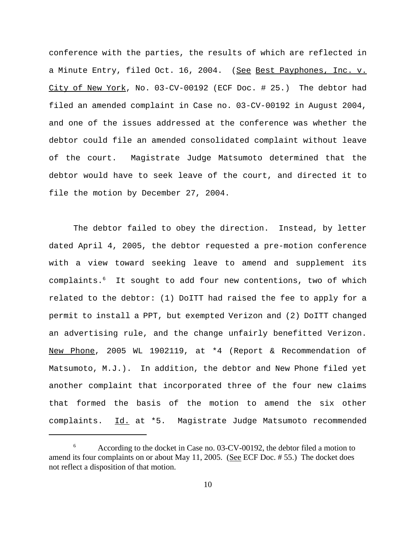conference with the parties, the results of which are reflected in a Minute Entry, filed Oct. 16, 2004. (See Best Payphones, Inc. v. City of New York, No. 03-CV-00192 (ECF Doc. # 25.) The debtor had filed an amended complaint in Case no. 03-CV-00192 in August 2004, and one of the issues addressed at the conference was whether the debtor could file an amended consolidated complaint without leave of the court. Magistrate Judge Matsumoto determined that the debtor would have to seek leave of the court, and directed it to file the motion by December 27, 2004.

The debtor failed to obey the direction. Instead, by letter dated April 4, 2005, the debtor requested a pre-motion conference with a view toward seeking leave to amend and supplement its complaints.6 It sought to add four new contentions, two of which related to the debtor: (1) DoITT had raised the fee to apply for a permit to install a PPT, but exempted Verizon and (2) DoITT changed an advertising rule, and the change unfairly benefitted Verizon. New Phone, 2005 WL 1902119, at \*4 (Report & Recommendation of Matsumoto, M.J.). In addition, the debtor and New Phone filed yet another complaint that incorporated three of the four new claims that formed the basis of the motion to amend the six other complaints. Id. at \*5. Magistrate Judge Matsumoto recommended

<sup>&</sup>lt;sup>6</sup> According to the docket in Case no. 03-CV-00192, the debtor filed a motion to amend its four complaints on or about May 11, 2005. (See ECF Doc. #55.) The docket does not reflect a disposition of that motion.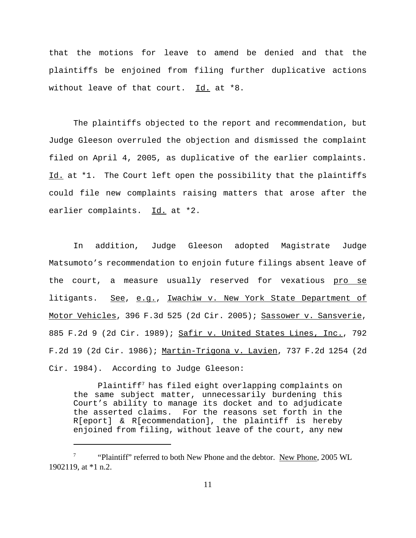that the motions for leave to amend be denied and that the plaintiffs be enjoined from filing further duplicative actions without leave of that court. Id. at \*8.

The plaintiffs objected to the report and recommendation, but Judge Gleeson overruled the objection and dismissed the complaint filed on April 4, 2005, as duplicative of the earlier complaints. Id. at \*1. The Court left open the possibility that the plaintiffs could file new complaints raising matters that arose after the earlier complaints. Id. at \*2.

In addition, Judge Gleeson adopted Magistrate Judge Matsumoto's recommendation to enjoin future filings absent leave of the court, a measure usually reserved for vexatious pro se litigants. See, e.g., Iwachiw v. New York State Department of Motor Vehicles, 396 F.3d 525 (2d Cir. 2005); Sassower v. Sansverie, 885 F.2d 9 (2d Cir. 1989); Safir v. United States Lines, Inc., 792 F.2d 19 (2d Cir. 1986); Martin-Trigona v. Lavien, 737 F.2d 1254 (2d Cir. 1984). According to Judge Gleeson:

Plaintiff7 has filed eight overlapping complaints on the same subject matter, unnecessarily burdening this Court's ability to manage its docket and to adjudicate the asserted claims. For the reasons set forth in the R[eport] & R[ecommendation], the plaintiff is hereby enjoined from filing, without leave of the court, any new

<sup>&</sup>lt;sup>7</sup> "Plaintiff" referred to both New Phone and the debtor. New Phone, 2005 WL 1902119, at \*1 n.2.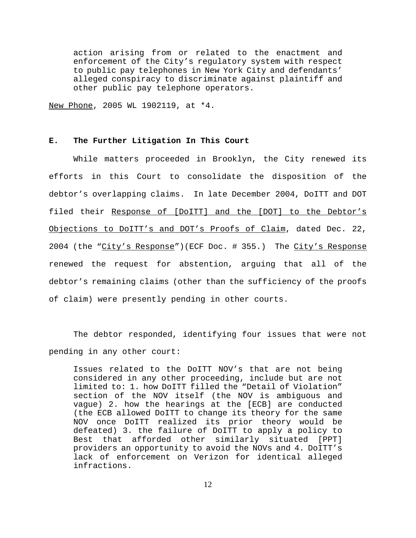action arising from or related to the enactment and enforcement of the City's regulatory system with respect to public pay telephones in New York City and defendants' alleged conspiracy to discriminate against plaintiff and other public pay telephone operators.

New Phone, 2005 WL 1902119, at \*4.

#### **E. The Further Litigation In This Court**

While matters proceeded in Brooklyn, the City renewed its efforts in this Court to consolidate the disposition of the debtor's overlapping claims. In late December 2004, DoITT and DOT filed their Response of [DoITT] and the [DOT] to the Debtor's Objections to DoITT's and DOT's Proofs of Claim, dated Dec. 22, 2004 (the "City's Response")(ECF Doc. # 355.) The City's Response renewed the request for abstention, arguing that all of the debtor's remaining claims (other than the sufficiency of the proofs of claim) were presently pending in other courts.

The debtor responded, identifying four issues that were not pending in any other court:

Issues related to the DoITT NOV's that are not being considered in any other proceeding, include but are not limited to: 1. how DoITT filled the "Detail of Violation" section of the NOV itself (the NOV is ambiguous and vague) 2. how the hearings at the [ECB] are conducted (the ECB allowed DoITT to change its theory for the same NOV once DoITT realized its prior theory would be defeated) 3. the failure of DoITT to apply a policy to Best that afforded other similarly situated [PPT] providers an opportunity to avoid the NOVs and 4. DoITT's lack of enforcement on Verizon for identical alleged infractions.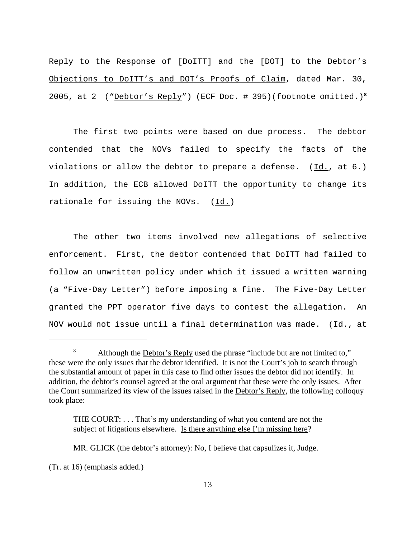Reply to the Response of [DoITT] and the [DOT] to the Debtor's Objections to DoITT's and DOT's Proofs of Claim, dated Mar. 30, 2005, at 2 ("Debtor's Reply") (ECF Doc. # 395)(footnote omitted.)**<sup>8</sup>**

The first two points were based on due process. The debtor contended that the NOVs failed to specify the facts of the violations or allow the debtor to prepare a defense. (Id., at 6.) In addition, the ECB allowed DoITT the opportunity to change its rationale for issuing the NOVs.  $(Id.)$ 

The other two items involved new allegations of selective enforcement. First, the debtor contended that DoITT had failed to follow an unwritten policy under which it issued a written warning (a "Five-Day Letter") before imposing a fine. The Five-Day Letter granted the PPT operator five days to contest the allegation. An NOV would not issue until a final determination was made. (Id., at

(Tr. at 16) (emphasis added.)

<sup>&</sup>lt;sup>8</sup> Although the <u>Debtor's Reply</u> used the phrase "include but are not limited to," these were the only issues that the debtor identified. It is not the Court's job to search through the substantial amount of paper in this case to find other issues the debtor did not identify. In addition, the debtor's counsel agreed at the oral argument that these were the only issues. After the Court summarized its view of the issues raised in the Debtor's Reply, the following colloquy took place:

THE COURT: . . . That's my understanding of what you contend are not the subject of litigations elsewhere. Is there anything else I'm missing here?

MR. GLICK (the debtor's attorney): No, I believe that capsulizes it, Judge.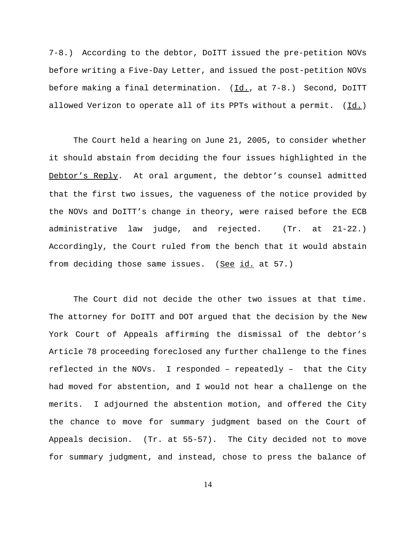7-8.) According to the debtor, DoITT issued the pre-petition NOVs before writing a Five-Day Letter, and issued the post-petition NOVs before making a final determination. (Id., at 7-8.) Second, DoITT allowed Verizon to operate all of its PPTs without a permit. (Id.)

The Court held a hearing on June 21, 2005, to consider whether it should abstain from deciding the four issues highlighted in the Debtor's Reply.At oral argument, the debtor's counsel admitted that the first two issues, the vagueness of the notice provided by the NOVs and DoITT's change in theory, were raised before the ECB administrative law judge, and rejected. (Tr. at 21-22.) Accordingly, the Court ruled from the bench that it would abstain from deciding those same issues. (See  $id.$  at 57.)

The Court did not decide the other two issues at that time. The attorney for DoITT and DOT argued that the decision by the New York Court of Appeals affirming the dismissal of the debtor's Article 78 proceeding foreclosed any further challenge to the fines reflected in the NOVs. I responded – repeatedly – that the City had moved for abstention, and I would not hear a challenge on the merits. I adjourned the abstention motion, and offered the City the chance to move for summary judgment based on the Court of Appeals decision. (Tr. at 55-57). The City decided not to move for summary judgment, and instead, chose to press the balance of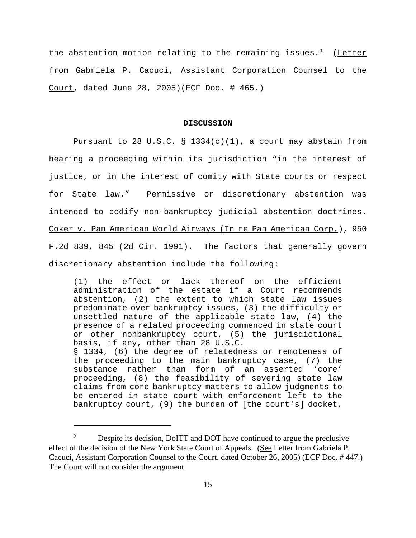the abstention motion relating to the remaining issues. $9$  (Letter from Gabriela P. Cacuci, Assistant Corporation Counsel to the Court, dated June 28, 2005)(ECF Doc. # 465.)

#### **DISCUSSION**

Pursuant to 28 U.S.C. § 1334(c)(1), a court may abstain from hearing a proceeding within its jurisdiction "in the interest of justice, or in the interest of comity with State courts or respect for State law." Permissive or discretionary abstention was intended to codify non-bankruptcy judicial abstention doctrines. Coker v. Pan American World Airways (In re Pan American Corp.), 950 F.2d 839, 845 (2d Cir. 1991). The factors that generally govern discretionary abstention include the following:

(1) the effect or lack thereof on the efficient administration of the estate if a Court recommends abstention, (2) the extent to which state law issues predominate over bankruptcy issues, (3) the difficulty or unsettled nature of the applicable state law, (4) the presence of a related proceeding commenced in state court or other nonbankruptcy court, (5) the jurisdictional basis, if any, other than 28 U.S.C. § 1334, (6) the degree of relatedness or remoteness of the proceeding to the main bankruptcy case, (7) the substance rather than form of an asserted 'core' proceeding, (8) the feasibility of severing state law claims from core bankruptcy matters to allow judgments to be entered in state court with enforcement left to the bankruptcy court, (9) the burden of [the court's] docket,

<sup>&</sup>lt;sup>9</sup> Despite its decision, DoITT and DOT have continued to argue the preclusive effect of the decision of the New York State Court of Appeals. (See Letter from Gabriela P. Cacuci, Assistant Corporation Counsel to the Court, dated October 26, 2005) (ECF Doc. # 447.) The Court will not consider the argument.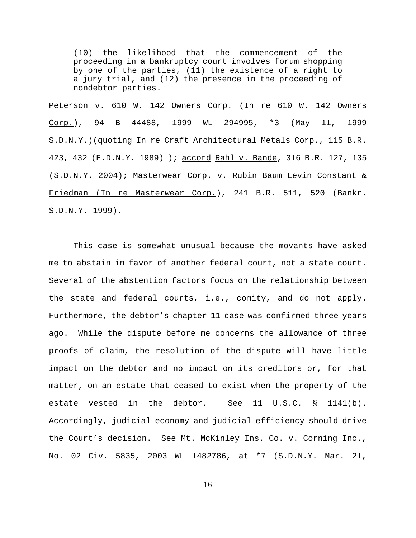(10) the likelihood that the commencement of the proceeding in a bankruptcy court involves forum shopping by one of the parties, (11) the existence of a right to a jury trial, and (12) the presence in the proceeding of nondebtor parties.

Peterson v. 610 W. 142 Owners Corp. (In re 610 W. 142 Owners Corp.), 94 B 44488, 1999 WL 294995, \*3 (May 11, 1999 S.D.N.Y.)(quoting In re Craft Architectural Metals Corp., 115 B.R. 423, 432 (E.D.N.Y. 1989) ); accord Rahl v. Bande, 316 B.R. 127, 135 (S.D.N.Y. 2004); Masterwear Corp. v. Rubin Baum Levin Constant & Friedman (In re Masterwear Corp.), 241 B.R. 511, 520 (Bankr. S.D.N.Y. 1999).

This case is somewhat unusual because the movants have asked me to abstain in favor of another federal court, not a state court. Several of the abstention factors focus on the relationship between the state and federal courts,  $i.e.,$  comity, and do not apply. Furthermore, the debtor's chapter 11 case was confirmed three years ago. While the dispute before me concerns the allowance of three proofs of claim, the resolution of the dispute will have little impact on the debtor and no impact on its creditors or, for that matter, on an estate that ceased to exist when the property of the estate vested in the debtor. See 11 U.S.C. § 1141(b). Accordingly, judicial economy and judicial efficiency should drive the Court's decision. See Mt. McKinley Ins. Co. v. Corning Inc., No. 02 Civ. 5835, 2003 WL 1482786, at \*7 (S.D.N.Y. Mar. 21,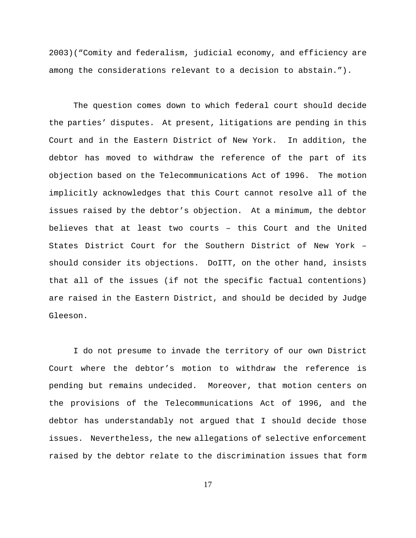2003)("Comity and federalism, judicial economy, and efficiency are among the considerations relevant to a decision to abstain.").

The question comes down to which federal court should decide the parties' disputes. At present, litigations are pending in this Court and in the Eastern District of New York. In addition, the debtor has moved to withdraw the reference of the part of its objection based on the Telecommunications Act of 1996. The motion implicitly acknowledges that this Court cannot resolve all of the issues raised by the debtor's objection. At a minimum, the debtor believes that at least two courts – this Court and the United States District Court for the Southern District of New York – should consider its objections. DoITT, on the other hand, insists that all of the issues (if not the specific factual contentions) are raised in the Eastern District, and should be decided by Judge Gleeson.

I do not presume to invade the territory of our own District Court where the debtor's motion to withdraw the reference is pending but remains undecided. Moreover, that motion centers on the provisions of the Telecommunications Act of 1996, and the debtor has understandably not argued that I should decide those issues. Nevertheless, the new allegations of selective enforcement raised by the debtor relate to the discrimination issues that form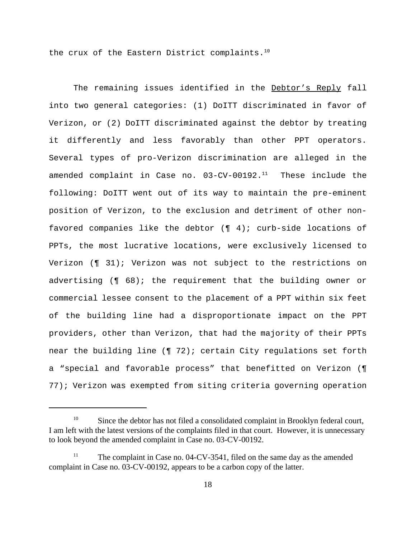the crux of the Eastern District complaints. $10$ 

The remaining issues identified in the Debtor's Reply fall into two general categories: (1) DoITT discriminated in favor of Verizon, or (2) DoITT discriminated against the debtor by treating it differently and less favorably than other PPT operators. Several types of pro-Verizon discrimination are alleged in the amended complaint in Case no.  $03$ -CV-00192. $^{11}$  These include the following: DoITT went out of its way to maintain the pre-eminent position of Verizon, to the exclusion and detriment of other nonfavored companies like the debtor  $(\P \ 4)$ ; curb-side locations of PPTs, the most lucrative locations, were exclusively licensed to Verizon (¶ 31); Verizon was not subject to the restrictions on advertising (¶ 68); the requirement that the building owner or commercial lessee consent to the placement of a PPT within six feet of the building line had a disproportionate impact on the PPT providers, other than Verizon, that had the majority of their PPTs near the building line (¶ 72); certain City regulations set forth a "special and favorable process" that benefitted on Verizon (¶ 77); Verizon was exempted from siting criteria governing operation

<sup>&</sup>lt;sup>10</sup> Since the debtor has not filed a consolidated complaint in Brooklyn federal court, I am left with the latest versions of the complaints filed in that court. However, it is unnecessary to look beyond the amended complaint in Case no. 03-CV-00192.

The complaint in Case no.  $04$ -CV-3541, filed on the same day as the amended complaint in Case no. 03-CV-00192, appears to be a carbon copy of the latter.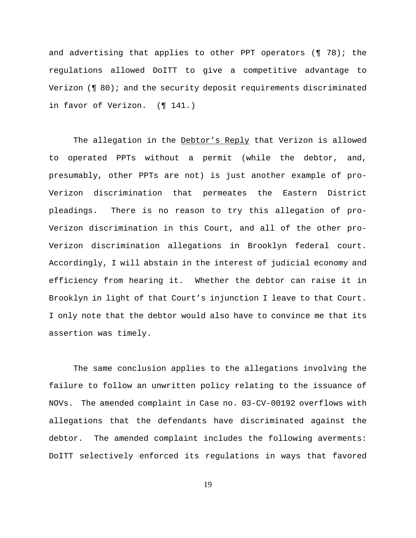and advertising that applies to other PPT operators (¶ 78); the regulations allowed DoITT to give a competitive advantage to Verizon (¶ 80); and the security deposit requirements discriminated in favor of Verizon. (¶ 141.)

The allegation in the Debtor's Reply that Verizon is allowed to operated PPTs without a permit (while the debtor, and, presumably, other PPTs are not) is just another example of pro-Verizon discrimination that permeates the Eastern District pleadings. There is no reason to try this allegation of pro-Verizon discrimination in this Court, and all of the other pro-Verizon discrimination allegations in Brooklyn federal court. Accordingly, I will abstain in the interest of judicial economy and efficiency from hearing it. Whether the debtor can raise it in Brooklyn in light of that Court's injunction I leave to that Court. I only note that the debtor would also have to convince me that its assertion was timely.

The same conclusion applies to the allegations involving the failure to follow an unwritten policy relating to the issuance of NOVs. The amended complaint in Case no. 03-CV-00192 overflows with allegations that the defendants have discriminated against the debtor. The amended complaint includes the following averments: DoITT selectively enforced its regulations in ways that favored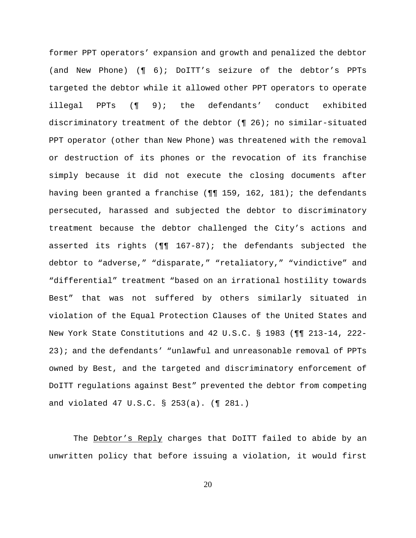former PPT operators' expansion and growth and penalized the debtor (and New Phone) (¶ 6); DoITT's seizure of the debtor's PPTs targeted the debtor while it allowed other PPT operators to operate illegal PPTs (¶ 9); the defendants' conduct exhibited discriminatory treatment of the debtor (¶ 26); no similar-situated PPT operator (other than New Phone) was threatened with the removal or destruction of its phones or the revocation of its franchise simply because it did not execute the closing documents after having been granted a franchise (¶¶ 159, 162, 181); the defendants persecuted, harassed and subjected the debtor to discriminatory treatment because the debtor challenged the City's actions and asserted its rights (¶¶ 167-87); the defendants subjected the debtor to "adverse," "disparate," "retaliatory," "vindictive" and "differential" treatment "based on an irrational hostility towards Best" that was not suffered by others similarly situated in violation of the Equal Protection Clauses of the United States and New York State Constitutions and 42 U.S.C. § 1983 (¶¶ 213-14, 222- 23); and the defendants' "unlawful and unreasonable removal of PPTs owned by Best, and the targeted and discriminatory enforcement of DoITT regulations against Best" prevented the debtor from competing and violated 47 U.S.C. § 253(a). (¶ 281.)

The Debtor's Reply charges that DoITT failed to abide by an unwritten policy that before issuing a violation, it would first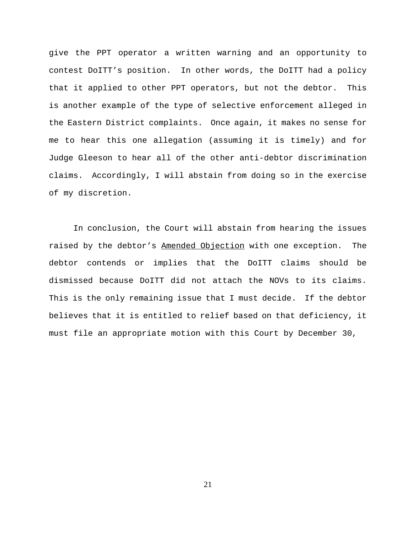give the PPT operator a written warning and an opportunity to contest DoITT's position. In other words, the DoITT had a policy that it applied to other PPT operators, but not the debtor. This is another example of the type of selective enforcement alleged in the Eastern District complaints. Once again, it makes no sense for me to hear this one allegation (assuming it is timely) and for Judge Gleeson to hear all of the other anti-debtor discrimination claims. Accordingly, I will abstain from doing so in the exercise of my discretion.

In conclusion, the Court will abstain from hearing the issues raised by the debtor's Amended Objection with one exception. The debtor contends or implies that the DoITT claims should be dismissed because DoITT did not attach the NOVs to its claims. This is the only remaining issue that I must decide. If the debtor believes that it is entitled to relief based on that deficiency, it must file an appropriate motion with this Court by December 30,